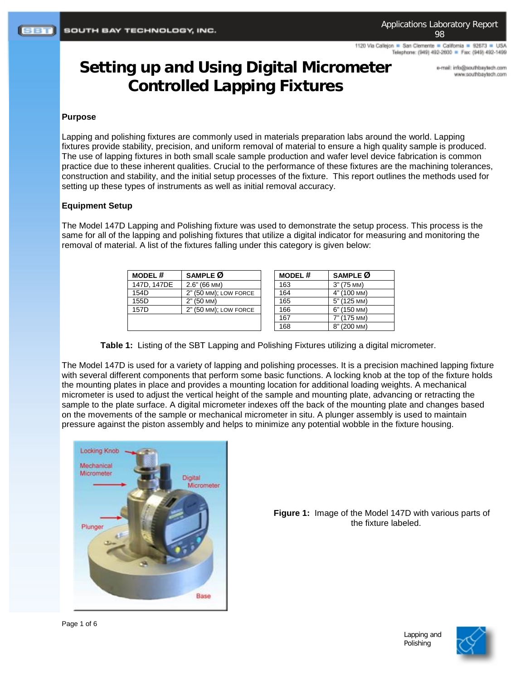1120 Via Callejon = San Clemente = California = 92673 = USA Telephone: (949) 492-2600 = Fax: (949) 492-1499

# **Setting up and Using Digital Micrometer Controlled Lapping Fixtures**

e-mail: info@southbaytech.com www.southbaytech.com

## **Purpose**

Lapping and polishing fixtures are commonly used in materials preparation labs around the world. Lapping fixtures provide stability, precision, and uniform removal of material to ensure a high quality sample is produced. The use of lapping fixtures in both small scale sample production and wafer level device fabrication is common practice due to these inherent qualities. Crucial to the performance of these fixtures are the machining tolerances, construction and stability, and the initial setup processes of the fixture. This report outlines the methods used for setting up these types of instruments as well as initial removal accuracy.

### **Equipment Setup**

The Model 147D Lapping and Polishing fixture was used to demonstrate the setup process. This process is the same for all of the lapping and polishing fixtures that utilize a digital indicator for measuring and monitoring the removal of material. A list of the fixtures falling under this category is given below:

| <b>MODEL#</b> | SAMPLE Ø              | <b>MODEL#</b> | SAMPLE Ø    |
|---------------|-----------------------|---------------|-------------|
| 147D, 147DE   | $2.6" (66$ MM)        | 163           | 3" (75 MM)  |
| 154D          | 2" (50 MM); LOW FORCE | 164           | 4" (100 MM) |
| 155D          | 2" (50 MM)            | 165           | 5" (125 MM) |
| 157D          | 2" (50 MM); LOW FORCE | 166           | 6" (150 MM) |
|               |                       | 167           | 7" (175 MM) |
|               |                       | 168           | 8" (200 MM) |

**Table 1:** Listing of the SBT Lapping and Polishing Fixtures utilizing a digital micrometer.

The Model 147D is used for a variety of lapping and polishing processes. It is a precision machined lapping fixture with several different components that perform some basic functions. A locking knob at the top of the fixture holds the mounting plates in place and provides a mounting location for additional loading weights. A mechanical micrometer is used to adjust the vertical height of the sample and mounting plate, advancing or retracting the sample to the plate surface. A digital micrometer indexes off the back of the mounting plate and changes based on the movements of the sample or mechanical micrometer in situ. A plunger assembly is used to maintain pressure against the piston assembly and helps to minimize any potential wobble in the fixture housing.



**Figure 1:** Image of the Model 147D with various parts of the fixture labeled.

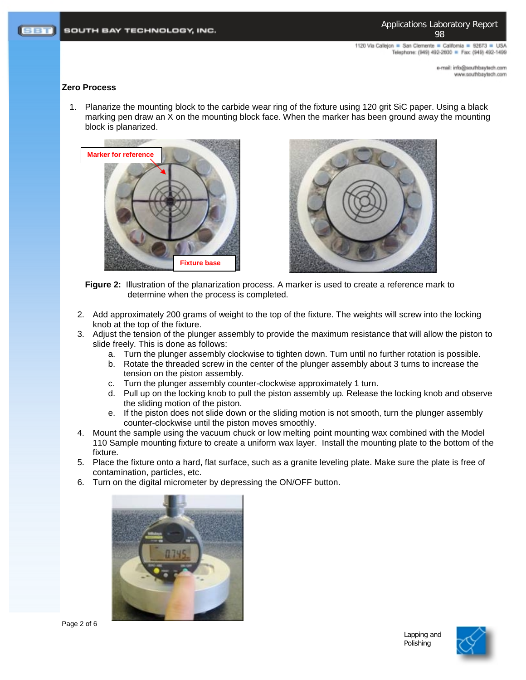Applications Laboratory Report 98

1120 Via Calleion . San Clemente . California . 92673 . USA Telephone: (949) 492-2600 = Fax: (949) 492-1499

> mo.rloetysdrtuos@ohri.ilam-e moo.floelytedfuoz.www

#### **Zero Process**

1. Planarize the mounting block to the carbide wear ring of the fixture using 120 grit SiC paper. Using a black marking pen draw an X on the mounting block face. When the marker has been ground away the mounting block is planarized.





**Figure 2:** Illustration of the planarization process. A marker is used to create a reference mark to determine when the process is completed.

- 2. Add approximately 200 grams of weight to the top of the fixture. The weights will screw into the locking knob at the top of the fixture.
- 3. Adjust the tension of the plunger assembly to provide the maximum resistance that will allow the piston to slide freely. This is done as follows:
	- a. Turn the plunger assembly clockwise to tighten down. Turn until no further rotation is possible.
	- b. Rotate the threaded screw in the center of the plunger assembly about 3 turns to increase the tension on the piston assembly.
	- c. Turn the plunger assembly counter-clockwise approximately 1 turn.
	- d. Pull up on the locking knob to pull the piston assembly up. Release the locking knob and observe the sliding motion of the piston.
	- e. If the piston does not slide down or the sliding motion is not smooth, turn the plunger assembly counter-clockwise until the piston moves smoothly.
- 4. Mount the sample using the vacuum chuck or low melting point mounting wax combined with the Model 110 Sample mounting fixture to create a uniform wax layer. Install the mounting plate to the bottom of the fixture.
- 5. Place the fixture onto a hard, flat surface, such as a granite leveling plate. Make sure the plate is free of contamination, particles, etc.
- 6. Turn on the digital micrometer by depressing the ON/OFF button.



Page 2 of 6

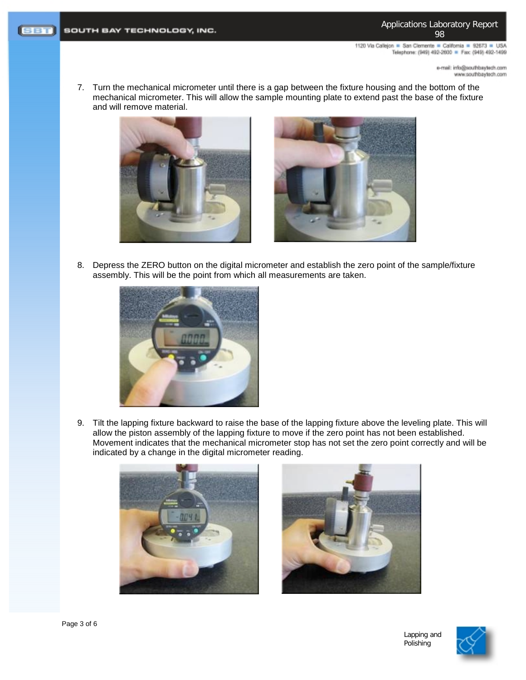Applications Laboratory Report 98

1120 Via Callejon = San Clemente = California = 92673 = USA Telephone: (949) 492-2600 = Fax: (949) 492-1499

> e-mail: info@southbaytech.com www.southbaytech.com

7. Turn the mechanical micrometer until there is a gap between the fixture housing and the bottom of the mechanical micrometer. This will allow the sample mounting plate to extend past the base of the fixture and will remove material.





8. Depress the ZERO button on the digital micrometer and establish the zero point of the sample/fixture assembly. This will be the point from which all measurements are taken.



9. Tilt the lapping fixture backward to raise the base of the lapping fixture above the leveling plate. This will allow the piston assembly of the lapping fixture to move if the zero point has not been established. Movement indicates that the mechanical micrometer stop has not set the zero point correctly and will be indicated by a change in the digital micrometer reading.





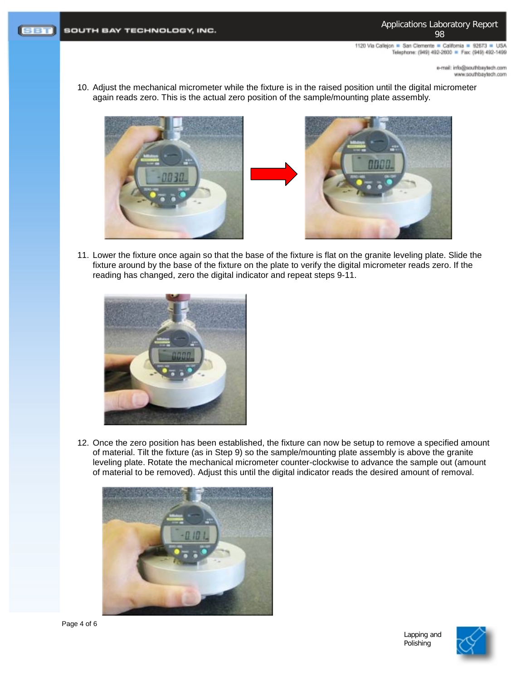1120 Via Callejon = San Clemente = California = 92673 = USA Telephone: (949) 492-2600 = Fax: (949) 492-1499

> e-mail: info@southbaytech.com www.southbaytech.com

10. Adjust the mechanical micrometer while the fixture is in the raised position until the digital micrometer again reads zero. This is the actual zero position of the sample/mounting plate assembly.





11. Lower the fixture once again so that the base of the fixture is flat on the granite leveling plate. Slide the fixture around by the base of the fixture on the plate to verify the digital micrometer reads zero. If the reading has changed, zero the digital indicator and repeat steps 9-11.



12. Once the zero position has been established, the fixture can now be setup to remove a specified amount of material. Tilt the fixture (as in Step 9) so the sample/mounting plate assembly is above the granite leveling plate. Rotate the mechanical micrometer counter-clockwise to advance the sample out (amount of material to be removed). Adjust this until the digital indicator reads the desired amount of removal.



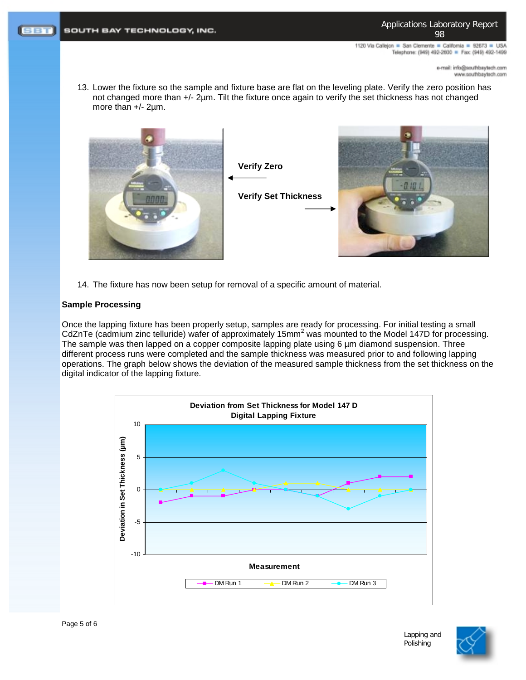Applications Laboratory Report 98

1120 Via Calleion . San Clemente . California . 92673 . USA Telephone: (949) 492-2600 = Fax: (949) 492-1499

> e-mail: info@southbaytech.com moo.floelytedfuoz.www

13. Lower the fixture so the sample and fixture base are flat on the leveling plate. Verify the zero position has not changed more than +/- 2µm. Tilt the fixture once again to verify the set thickness has not changed more than +/- 2µm.



14. The fixture has now been setup for removal of a specific amount of material.

## **Sample Processing**

Once the lapping fixture has been properly setup, samples are ready for processing. For initial testing a small CdZnTe (cadmium zinc telluride) wafer of approximately 15mm<sup>2</sup> was mounted to the Model 147D for processing. The sample was then lapped on a copper composite lapping plate using 6  $\mu$ m diamond suspension. Three different process runs were completed and the sample thickness was measured prior to and following lapping operations. The graph below shows the deviation of the measured sample thickness from the set thickness on the digital indicator of the lapping fixture.





Lapping and Polishing